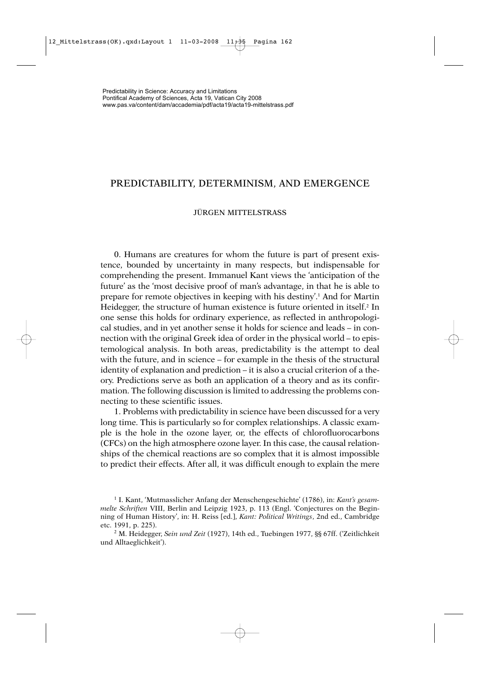## PREDICTABILITY, DETERMINISM, AND EMERGENCE

## JÜRGEN MITTELSTRASS

0. Humans are creatures for whom the future is part of present existence, bounded by uncertainty in many respects, but indispensable for comprehending the present. Immanuel Kant views the 'anticipation of the future' as the 'most decisive proof of man's advantage, in that he is able to prepare for remote objectives in keeping with his destiny'.1 And for Martin Heidegger, the structure of human existence is future oriented in itself.<sup>2</sup> In one sense this holds for ordinary experience, as reflected in anthropological studies, and in yet another sense it holds for science and leads – in connection with the original Greek idea of order in the physical world – to epistemological analysis. In both areas, predictability is the attempt to deal with the future, and in science – for example in the thesis of the structural identity of explanation and prediction – it is also a crucial criterion of a theory. Predictions serve as both an application of a theory and as its confirmation. The following discussion is limited to addressing the problems connecting to these scientific issues.

1. Problems with predictability in science have been discussed for a very long time. This is particularly so for complex relationships. A classic example is the hole in the ozone layer, or, the effects of chlorofluorocarbons (CFCs) on the high atmosphere ozone layer. In this case, the causal relationships of the chemical reactions are so complex that it is almost impossible to predict their effects. After all, it was difficult enough to explain the mere

<sup>1</sup> I. Kant, 'Mutmasslicher Anfang der Menschengeschichte' (1786), in: *Kant's gesammelte Schriften* VIII, Berlin and Leipzig 1923, p. 113 (Engl. 'Conjectures on the Beginning of Human History', in: H. Reiss [ed.], *Kant: Political Writings*, 2nd ed., Cambridge etc. 1991, p. 225).

<sup>2</sup> M. Heidegger, *Sein und Zeit* (1927), 14th ed., Tuebingen 1977, §§ 67ff. ('Zeitlichkeit und Alltaeglichkeit').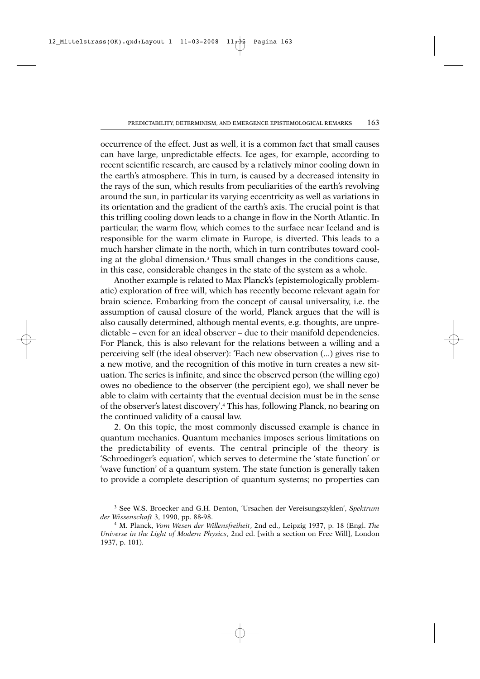occurrence of the effect. Just as well, it is a common fact that small causes can have large, unpredictable effects. Ice ages, for example, according to recent scientific research, are caused by a relatively minor cooling down in the earth's atmosphere. This in turn, is caused by a decreased intensity in the rays of the sun, which results from peculiarities of the earth's revolving around the sun, in particular its varying eccentricity as well as variations in its orientation and the gradient of the earth's axis. The crucial point is that this trifling cooling down leads to a change in flow in the North Atlantic. In particular, the warm flow, which comes to the surface near Iceland and is responsible for the warm climate in Europe, is diverted. This leads to a much harsher climate in the north, which in turn contributes toward cooling at the global dimension.3 Thus small changes in the conditions cause, in this case, considerable changes in the state of the system as a whole.

Another example is related to Max Planck's (epistemologically problematic) exploration of free will, which has recently become relevant again for brain science. Embarking from the concept of causal universality, i.e. the assumption of causal closure of the world, Planck argues that the will is also causally determined, although mental events, e.g. thoughts, are unpredictable – even for an ideal observer – due to their manifold dependencies. For Planck, this is also relevant for the relations between a willing and a perceiving self (the ideal observer): 'Each new observation (...) gives rise to a new motive, and the recognition of this motive in turn creates a new situation. The series is infinite, and since the observed person (the willing ego) owes no obedience to the observer (the percipient ego), we shall never be able to claim with certainty that the eventual decision must be in the sense of the observer's latest discovery'.4 This has, following Planck, no bearing on the continued validity of a causal law.

2. On this topic, the most commonly discussed example is chance in quantum mechanics. Quantum mechanics imposes serious limitations on the predictability of events. The central principle of the theory is 'Schroedinger's equation', which serves to determine the 'state function' or 'wave function' of a quantum system. The state function is generally taken to provide a complete description of quantum systems; no properties can

<sup>3</sup> See W.S. Broecker and G.H. Denton, 'Ursachen der Vereisungszyklen', *Spektrum der Wissenschaft* 3, 1990, pp. 88-98.

<sup>4</sup> M. Planck, *Vom Wesen der Willensfreiheit*, 2nd ed., Leipzig 1937, p. 18 (Engl. *The Universe in the Light of Modern Physics*, 2nd ed. [with a section on Free Will], London 1937, p. 101).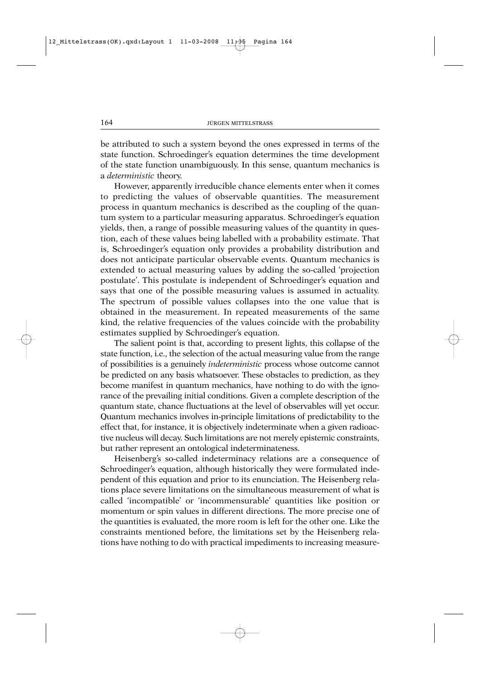be attributed to such a system beyond the ones expressed in terms of the state function. Schroedinger's equation determines the time development of the state function unambiguously. In this sense, quantum mechanics is a *deterministic* theory.

However, apparently irreducible chance elements enter when it comes to predicting the values of observable quantities. The measurement process in quantum mechanics is described as the coupling of the quantum system to a particular measuring apparatus. Schroedinger's equation yields, then, a range of possible measuring values of the quantity in question, each of these values being labelled with a probability estimate. That is, Schroedinger's equation only provides a probability distribution and does not anticipate particular observable events. Quantum mechanics is extended to actual measuring values by adding the so-called 'projection postulate'. This postulate is independent of Schroedinger's equation and says that one of the possible measuring values is assumed in actuality. The spectrum of possible values collapses into the one value that is obtained in the measurement. In repeated measurements of the same kind, the relative frequencies of the values coincide with the probability estimates supplied by Schroedinger's equation.

The salient point is that, according to present lights, this collapse of the state function, i.e., the selection of the actual measuring value from the range of possibilities is a genuinely *indeterministic* process whose outcome cannot be predicted on any basis whatsoever. These obstacles to prediction, as they become manifest in quantum mechanics, have nothing to do with the ignorance of the prevailing initial conditions. Given a complete description of the quantum state, chance fluctuations at the level of observables will yet occur. Quantum mechanics involves in-principle limitations of predictability to the effect that, for instance, it is objectively indeterminate when a given radioactive nucleus will decay. Such limitations are not merely epistemic constraints, but rather represent an ontological indeterminateness.

Heisenberg's so-called indeterminacy relations are a consequence of Schroedinger's equation, although historically they were formulated independent of this equation and prior to its enunciation. The Heisenberg relations place severe limitations on the simultaneous measurement of what is called 'incompatible' or 'incommensurable' quantities like position or momentum or spin values in different directions. The more precise one of the quantities is evaluated, the more room is left for the other one. Like the constraints mentioned before, the limitations set by the Heisenberg relations have nothing to do with practical impediments to increasing measure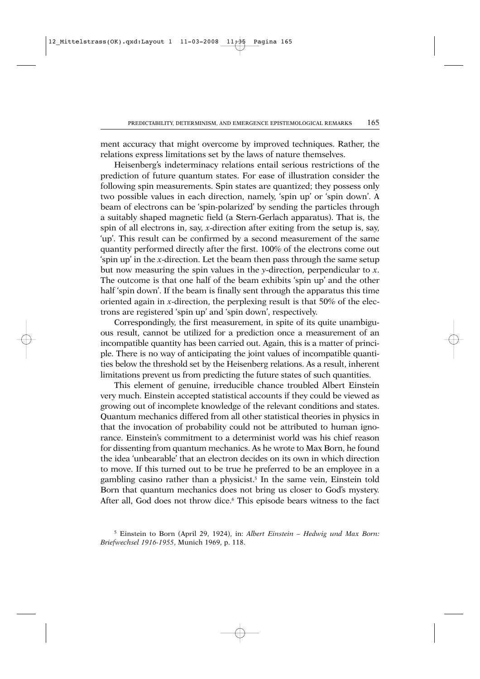ment accuracy that might overcome by improved techniques. Rather, the relations express limitations set by the laws of nature themselves.

Heisenberg's indeterminacy relations entail serious restrictions of the prediction of future quantum states. For ease of illustration consider the following spin measurements. Spin states are quantized; they possess only two possible values in each direction, namely, 'spin up' or 'spin down'. A beam of electrons can be 'spin-polarized' by sending the particles through a suitably shaped magnetic field (a Stern-Gerlach apparatus). That is, the spin of all electrons in, say, *x*-direction after exiting from the setup is, say, 'up'. This result can be confirmed by a second measurement of the same quantity performed directly after the first. 100% of the electrons come out 'spin up' in the *x*-direction. Let the beam then pass through the same setup but now measuring the spin values in the *y*-direction, perpendicular to *x*. The outcome is that one half of the beam exhibits 'spin up' and the other half 'spin down'. If the beam is finally sent through the apparatus this time oriented again in *x*-direction, the perplexing result is that 50% of the electrons are registered 'spin up' and 'spin down', respectively.

Correspondingly, the first measurement, in spite of its quite unambiguous result, cannot be utilized for a prediction once a measurement of an incompatible quantity has been carried out. Again, this is a matter of principle. There is no way of anticipating the joint values of incompatible quantities below the threshold set by the Heisenberg relations. As a result, inherent limitations prevent us from predicting the future states of such quantities.

This element of genuine, irreducible chance troubled Albert Einstein very much. Einstein accepted statistical accounts if they could be viewed as growing out of incomplete knowledge of the relevant conditions and states. Quantum mechanics differed from all other statistical theories in physics in that the invocation of probability could not be attributed to human ignorance. Einstein's commitment to a determinist world was his chief reason for dissenting from quantum mechanics. As he wrote to Max Born, he found the idea 'unbearable' that an electron decides on its own in which direction to move. If this turned out to be true he preferred to be an employee in a gambling casino rather than a physicist.5 In the same vein, Einstein told Born that quantum mechanics does not bring us closer to God's mystery. After all, God does not throw dice.<sup>6</sup> This episode bears witness to the fact

<sup>5</sup> Einstein to Born (April 29, 1924), in: *Albert Einstein – Hedwig und Max Born: Briefwechsel 1916-1955*, Munich 1969, p. 118.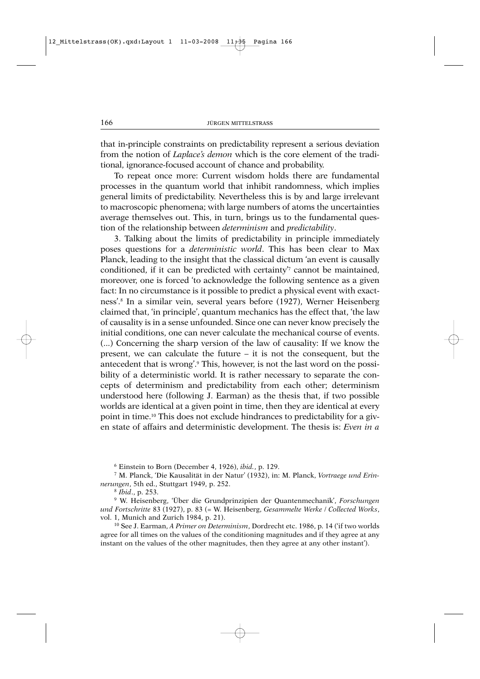that in-principle constraints on predictability represent a serious deviation from the notion of *Laplace's demon* which is the core element of the traditional, ignorance-focused account of chance and probability.

To repeat once more: Current wisdom holds there are fundamental processes in the quantum world that inhibit randomness, which implies general limits of predictability. Nevertheless this is by and large irrelevant to macroscopic phenomena; with large numbers of atoms the uncertainties average themselves out. This, in turn, brings us to the fundamental question of the relationship between *determinism* and *predictability*.

3. Talking about the limits of predictability in principle immediately poses questions for a *deterministic world*. This has been clear to Max Planck, leading to the insight that the classical dictum 'an event is causally conditioned, if it can be predicted with certainty'7 cannot be maintained, moreover, one is forced 'to acknowledge the following sentence as a given fact: In no circumstance is it possible to predict a physical event with exactness'.8 In a similar vein, several years before (1927), Werner Heisenberg claimed that, 'in principle', quantum mechanics has the effect that, 'the law of causality is in a sense unfounded. Since one can never know precisely the initial conditions, one can never calculate the mechanical course of events. (...) Concerning the sharp version of the law of causality: If we know the present, we can calculate the future – it is not the consequent, but the antecedent that is wrong'.9 This, however, is not the last word on the possibility of a deterministic world. It is rather necessary to separate the concepts of determinism and predictability from each other; determinism understood here (following J. Earman) as the thesis that, if two possible worlds are identical at a given point in time, then they are identical at every point in time.10 This does not exclude hindrances to predictability for a given state of affairs and deterministic development. The thesis is: *Even in a*

<sup>6</sup> Einstein to Born (December 4, 1926), *ibid.*, p. 129.

<sup>7</sup> M. Planck, 'Die Kausalität in der Natur' (1932), in: M. Planck, *Vortraege und Erinnerungen*, 5th ed., Stuttgart 1949, p. 252.

<sup>8</sup> *Ibid*., p. 253.

<sup>9</sup> W. Heisenberg, 'Über die Grundprinzipien der Quantenmechanik', *Forschungen und Fortschritte* 83 (1927), p. 83 (= W. Heisenberg, *Gesammelte Werke* / *Collected Works*, vol. 1, Munich and Zurich 1984, p. 21).

<sup>10</sup> See J. Earman, *A Primer on Determinism*, Dordrecht etc. 1986, p. 14 ('if two worlds agree for all times on the values of the conditioning magnitudes and if they agree at any instant on the values of the other magnitudes, then they agree at any other instant').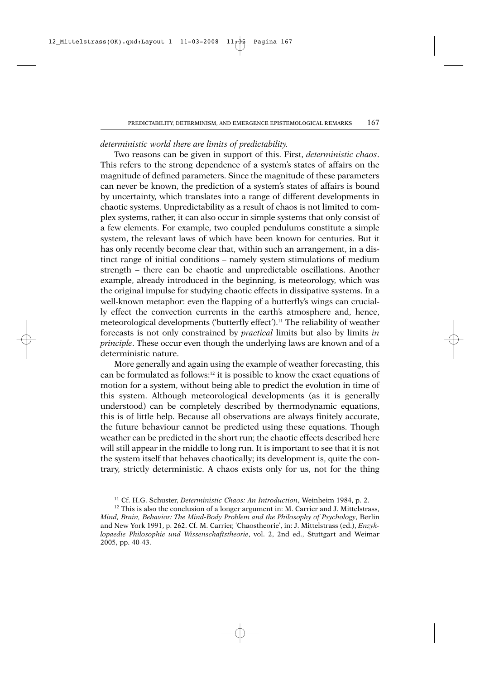## *deterministic world there are limits of predictability.*

Two reasons can be given in support of this. First, *deterministic chaos*. This refers to the strong dependence of a system's states of affairs on the magnitude of defined parameters. Since the magnitude of these parameters can never be known, the prediction of a system's states of affairs is bound by uncertainty, which translates into a range of different developments in chaotic systems. Unpredictability as a result of chaos is not limited to complex systems, rather, it can also occur in simple systems that only consist of a few elements. For example, two coupled pendulums constitute a simple system, the relevant laws of which have been known for centuries. But it has only recently become clear that, within such an arrangement, in a distinct range of initial conditions – namely system stimulations of medium strength – there can be chaotic and unpredictable oscillations. Another example, already introduced in the beginning, is meteorology, which was the original impulse for studying chaotic effects in dissipative systems. In a well-known metaphor: even the flapping of a butterfly's wings can crucially effect the convection currents in the earth's atmosphere and, hence, meteorological developments ('butterfly effect').11 The reliability of weather forecasts is not only constrained by *practical* limits but also by limits *in principle*. These occur even though the underlying laws are known and of a deterministic nature.

More generally and again using the example of weather forecasting, this can be formulated as follows:12 it is possible to know the exact equations of motion for a system, without being able to predict the evolution in time of this system. Although meteorological developments (as it is generally understood) can be completely described by thermodynamic equations, this is of little help. Because all observations are always finitely accurate, the future behaviour cannot be predicted using these equations. Though weather can be predicted in the short run; the chaotic effects described here will still appear in the middle to long run. It is important to see that it is not the system itself that behaves chaotically; its development is, quite the contrary, strictly deterministic. A chaos exists only for us, not for the thing

<sup>11</sup> Cf. H.G. Schuster, *Deterministic Chaos: An Introduction*, Weinheim 1984, p. 2.

<sup>&</sup>lt;sup>12</sup> This is also the conclusion of a longer argument in: M. Carrier and J. Mittelstrass, *Mind, Brain, Behavior: The Mind-Body Problem and the Philosophy of Psychology*, Berlin and New York 1991, p. 262. Cf. M. Carrier, 'Chaostheorie', in: J. Mittelstrass (ed.), *Enzyklopaedie Philosophie und Wissenschaftstheorie*, vol. 2, 2nd ed., Stuttgart and Weimar 2005, pp. 40-43.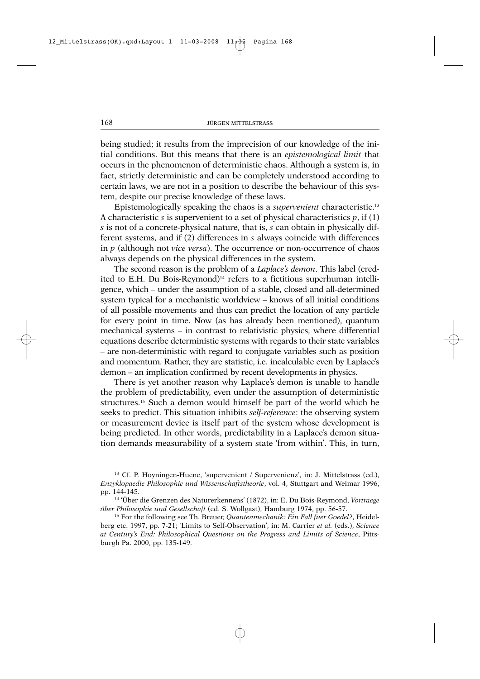being studied; it results from the imprecision of our knowledge of the initial conditions. But this means that there is an *epistemological limit* that occurs in the phenomenon of deterministic chaos. Although a system is, in fact, strictly deterministic and can be completely understood according to certain laws, we are not in a position to describe the behaviour of this system, despite our precise knowledge of these laws.

Epistemologically speaking the chaos is a *supervenient* characteristic.13 A characteristic *s* is supervenient to a set of physical characteristics *p*, if (1) *s* is not of a concrete-physical nature, that is, *s* can obtain in physically different systems, and if (2) differences in *s* always coincide with differences in *p* (although not *vice versa*). The occurrence or non-occurrence of chaos always depends on the physical differences in the system.

The second reason is the problem of a *Laplace's demon*. This label (credited to E.H. Du Bois-Reymond)14 refers to a fictitious superhuman intelligence, which – under the assumption of a stable, closed and all-determined system typical for a mechanistic worldview – knows of all initial conditions of all possible movements and thus can predict the location of any particle for every point in time. Now (as has already been mentioned), quantum mechanical systems – in contrast to relativistic physics, where differential equations describe deterministic systems with regards to their state variables – are non-deterministic with regard to conjugate variables such as position and momentum. Rather, they are statistic, i.e. incalculable even by Laplace's demon – an implication confirmed by recent developments in physics.

There is yet another reason why Laplace's demon is unable to handle the problem of predictability, even under the assumption of deterministic structures.15 Such a demon would himself be part of the world which he seeks to predict. This situation inhibits *self-reference*: the observing system or measurement device is itself part of the system whose development is being predicted. In other words, predictability in a Laplace's demon situation demands measurability of a system state 'from within'. This, in turn,

<sup>13</sup> Cf. P. Hoyningen-Huene, 'supervenient / Supervenienz', in: J. Mittelstrass (ed.), *Enzyklopaedie Philosophie und Wissenschaftstheorie*, vol. 4, Stuttgart and Weimar 1996, pp. 144-145.

<sup>14</sup> 'Über die Grenzen des Naturerkennens' (1872), in: E. Du Bois-Reymond, *Vortraege über Philosophie und Gesellschaft* (ed. S. Wollgast), Hamburg 1974, pp. 56-57.

<sup>15</sup> For the following see Th. Breuer, *Quantenmechanik: Ein Fall fuer Goedel?*, Heidelberg etc. 1997, pp. 7-21; 'Limits to Self-Observation', in: M. Carrier *et al.* (eds.), *Science at Century's End: Philosophical Questions on the Progress and Limits of Science*, Pittsburgh Pa. 2000, pp. 135-149.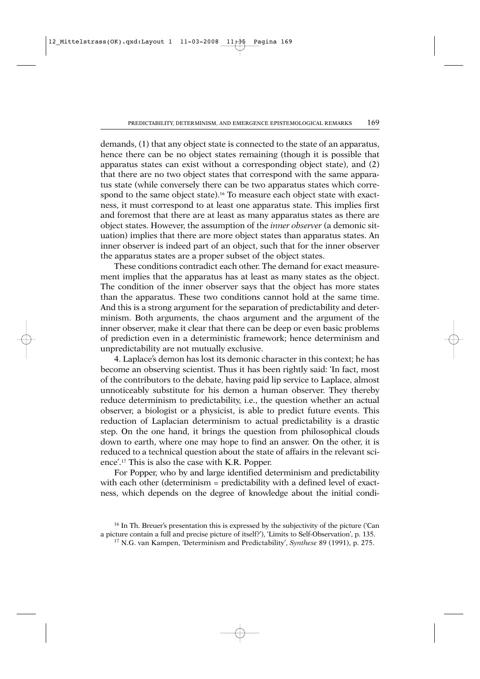demands, (1) that any object state is connected to the state of an apparatus, hence there can be no object states remaining (though it is possible that apparatus states can exist without a corresponding object state), and (2) that there are no two object states that correspond with the same apparatus state (while conversely there can be two apparatus states which correspond to the same object state).<sup>16</sup> To measure each object state with exactness, it must correspond to at least one apparatus state. This implies first and foremost that there are at least as many apparatus states as there are object states. However, the assumption of the *inner observer* (a demonic situation) implies that there are more object states than apparatus states. An inner observer is indeed part of an object, such that for the inner observer the apparatus states are a proper subset of the object states.

These conditions contradict each other. The demand for exact measurement implies that the apparatus has at least as many states as the object. The condition of the inner observer says that the object has more states than the apparatus. These two conditions cannot hold at the same time. And this is a strong argument for the separation of predictability and determinism. Both arguments, the chaos argument and the argument of the inner observer, make it clear that there can be deep or even basic problems of prediction even in a deterministic framework; hence determinism and unpredictability are not mutually exclusive.

4. Laplace's demon has lost its demonic character in this context; he has become an observing scientist. Thus it has been rightly said: 'In fact, most of the contributors to the debate, having paid lip service to Laplace, almost unnoticeably substitute for his demon a human observer. They thereby reduce determinism to predictability, i.e., the question whether an actual observer, a biologist or a physicist, is able to predict future events. This reduction of Laplacian determinism to actual predictability is a drastic step. On the one hand, it brings the question from philosophical clouds down to earth, where one may hope to find an answer. On the other, it is reduced to a technical question about the state of affairs in the relevant science'.17 This is also the case with K.R. Popper.

For Popper, who by and large identified determinism and predictability with each other (determinism = predictability with a defined level of exactness, which depends on the degree of knowledge about the initial condi-

<sup>&</sup>lt;sup>16</sup> In Th. Breuer's presentation this is expressed by the subjectivity of the picture ('Can a picture contain a full and precise picture of itself?'), 'Limits to Self-Observation', p. 135. 17 N.G. van Kampen, 'Determinism and Predictability', *Synthese* 89 (1991), p. 275.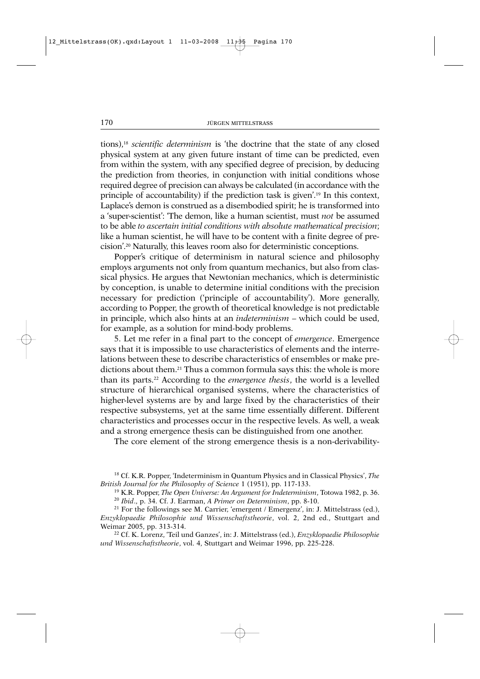tions),18 *scientific determinism* is 'the doctrine that the state of any closed physical system at any given future instant of time can be predicted, even from within the system, with any specified degree of precision, by deducing the prediction from theories, in conjunction with initial conditions whose required degree of precision can always be calculated (in accordance with the principle of accountability) if the prediction task is given'.19 In this context, Laplace's demon is construed as a disembodied spirit; he is transformed into a 'super-scientist': 'The demon, like a human scientist, must *not* be assumed to be able *to ascertain initial conditions with absolute mathematical precision*; like a human scientist, he will have to be content with a finite degree of precision'.20 Naturally, this leaves room also for deterministic conceptions.

Popper's critique of determinism in natural science and philosophy employs arguments not only from quantum mechanics, but also from classical physics. He argues that Newtonian mechanics, which is deterministic by conception, is unable to determine initial conditions with the precision necessary for prediction ('principle of accountability'). More generally, according to Popper, the growth of theoretical knowledge is not predictable in principle, which also hints at an *indeterminism* – which could be used, for example, as a solution for mind-body problems.

5. Let me refer in a final part to the concept of *emergence*. Emergence says that it is impossible to use characteristics of elements and the interrelations between these to describe characteristics of ensembles or make predictions about them.21 Thus a common formula says this: the whole is more than its parts.22 According to the *emergence thesis*, the world is a levelled structure of hierarchical organised systems, where the characteristics of higher-level systems are by and large fixed by the characteristics of their respective subsystems, yet at the same time essentially different. Different characteristics and processes occur in the respective levels. As well, a weak and a strong emergence thesis can be distinguished from one another.

The core element of the strong emergence thesis is a non-derivability-

<sup>18</sup> Cf. K.R. Popper, 'Indeterminism in Quantum Physics and in Classical Physics', *The British Journal for the Philosophy of Science* 1 (1951), pp. 117-133.

<sup>19</sup> K.R. Popper, *The Open Universe: An Argument for Indeterminism*, Totowa 1982, p. 36.

<sup>20</sup> *Ibid*., p. 34. Cf. J. Earman, *A Primer on Determinism*, pp. 8-10.

<sup>21</sup> For the followings see M. Carrier, 'emergent / Emergenz', in: J. Mittelstrass (ed.), *Enzyklopaedie Philosophie und Wissenschaftstheorie*, vol. 2, 2nd ed., Stuttgart and Weimar 2005, pp. 313-314.

<sup>22</sup> Cf. K. Lorenz, 'Teil und Ganzes', in: J. Mittelstrass (ed.), *Enzyklopaedie Philosophie und Wissenschaftstheorie*, vol. 4, Stuttgart and Weimar 1996, pp. 225-228.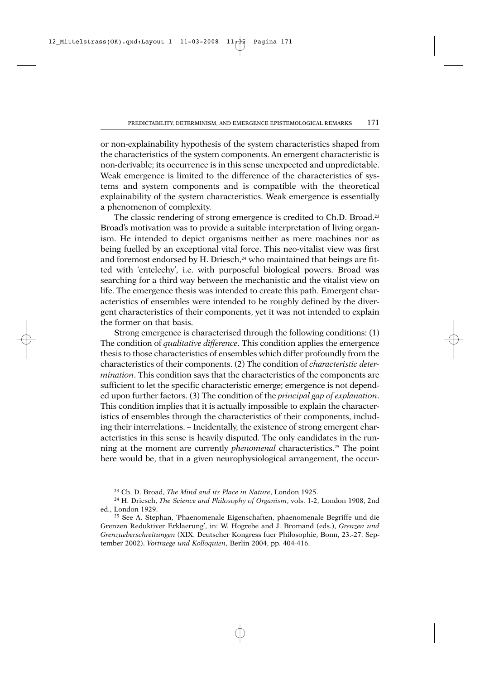or non-explainability hypothesis of the system characteristics shaped from the characteristics of the system components. An emergent characteristic is non-derivable; its occurrence is in this sense unexpected and unpredictable. Weak emergence is limited to the difference of the characteristics of systems and system components and is compatible with the theoretical explainability of the system characteristics. Weak emergence is essentially a phenomenon of complexity.

The classic rendering of strong emergence is credited to Ch.D. Broad.<sup>23</sup> Broad's motivation was to provide a suitable interpretation of living organism. He intended to depict organisms neither as mere machines nor as being fuelled by an exceptional vital force. This neo-vitalist view was first and foremost endorsed by H. Driesch,<sup>24</sup> who maintained that beings are fitted with 'entelechy', i.e. with purposeful biological powers. Broad was searching for a third way between the mechanistic and the vitalist view on life. The emergence thesis was intended to create this path. Emergent characteristics of ensembles were intended to be roughly defined by the divergent characteristics of their components, yet it was not intended to explain the former on that basis.

Strong emergence is characterised through the following conditions: (1) The condition of *qualitative difference*. This condition applies the emergence thesis to those characteristics of ensembles which differ profoundly from the characteristics of their components. (2) The condition of *characteristic determination*. This condition says that the characteristics of the components are sufficient to let the specific characteristic emerge; emergence is not depended upon further factors. (3) The condition of the *principal gap of explanation*. This condition implies that it is actually impossible to explain the characteristics of ensembles through the characteristics of their components, including their interrelations. – Incidentally, the existence of strong emergent characteristics in this sense is heavily disputed. The only candidates in the running at the moment are currently *phenomenal* characteristics.<sup>25</sup> The point here would be, that in a given neurophysiological arrangement, the occur-

<sup>23</sup> Ch. D. Broad, *The Mind and its Place in Nature*, London 1925.

<sup>24</sup> H. Driesch, *The Science and Philosophy of Organism*, vols. 1-2, London 1908, 2nd ed., London 1929.

<sup>25</sup> See A. Stephan, 'Phaenomenale Eigenschaften, phaenomenale Begriffe und die Grenzen Reduktiver Erklaerung', in: W. Hogrebe and J. Bromand (eds.), *Grenzen und Grenzueberschreitungen* (XIX. Deutscher Kongress fuer Philosophie, Bonn, 23.-27. September 2002). *Vortraege und Kolloquien*, Berlin 2004, pp. 404-416.